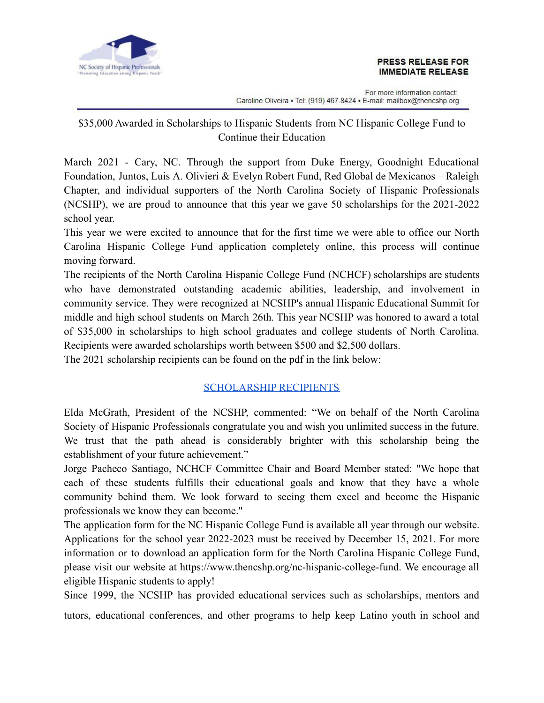

## **PRESS RELEASE FOR IMMEDIATE RELEASE**

For more information contact: Caroline Oliveira • Tel: (919) 467.8424 • E-mail: mailbox@thencshp.org

## \$35,000 Awarded in Scholarships to Hispanic Students from NC Hispanic College Fund to Continue their Education

March 2021 - Cary, NC. Through the support from Duke Energy, Goodnight Educational Foundation, Juntos, Luis A. Olivieri & Evelyn Robert Fund, Red Global de Mexicanos – Raleigh Chapter, and individual supporters of the North Carolina Society of Hispanic Professionals (NCSHP), we are proud to announce that this year we gave 50 scholarships for the 2021-2022 school year.

This year we were excited to announce that for the first time we were able to office our North Carolina Hispanic College Fund application completely online, this process will continue moving forward.

The recipients of the North Carolina Hispanic College Fund (NCHCF) scholarships are students who have demonstrated outstanding academic abilities, leadership, and involvement in community service. They were recognized at NCSHP's annual Hispanic Educational Summit for middle and high school students on March 26th. This year NCSHP was honored to award a total of \$35,000 in scholarships to high school graduates and college students of North Carolina. Recipients were awarded scholarships worth between \$500 and \$2,500 dollars.

The 2021 scholarship recipients can be found on the pdf in the link below:

## [SCHOLARSHIP RECIPIENTS](https://eae88bed-7c4a-41a2-90fa-a28a3d3c9f45.filesusr.com/ugd/89e0ca_010aaf12cba849dd836a74643b08efd2.pdf)

Elda McGrath, President of the NCSHP, commented: "We on behalf of the North Carolina Society of Hispanic Professionals congratulate you and wish you unlimited success in the future. We trust that the path ahead is considerably brighter with this scholarship being the establishment of your future achievement."

Jorge Pacheco Santiago, NCHCF Committee Chair and Board Member stated: "We hope that each of these students fulfills their educational goals and know that they have a whole community behind them. We look forward to seeing them excel and become the Hispanic professionals we know they can become."

The application form for the NC Hispanic College Fund is available all year through our website. Applications for the school year 2022-2023 must be received by December 15, 2021. For more information or to download an application form for the North Carolina Hispanic College Fund, please visit our website at https://www.thencshp.org/nc-hispanic-college-fund. We encourage all eligible Hispanic students to apply!

Since 1999, the NCSHP has provided educational services such as scholarships, mentors and tutors, educational conferences, and other programs to help keep Latino youth in school and